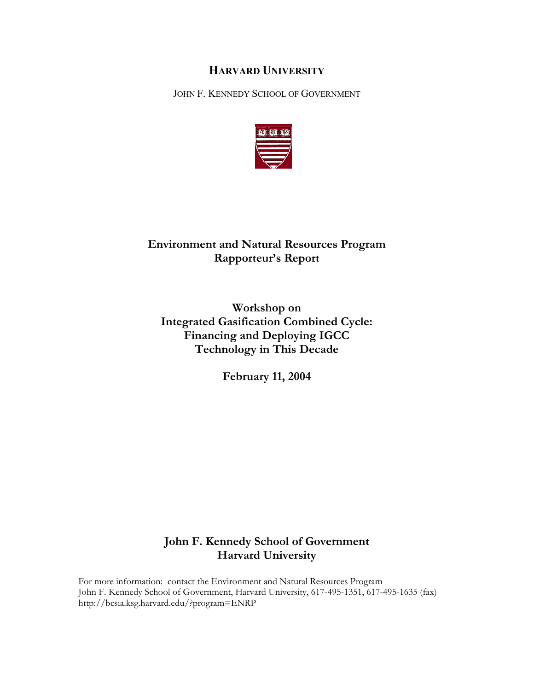# **HARVARD UNIVERSITY**

JOHN F. KENNEDY SCHOOL OF GOVERNMENT



# **Environment and Natural Resources Program Rapporteur's Report**

**Workshop on Integrated Gasification Combined Cycle: Financing and Deploying IGCC Technology in This Decade** 

**February 11, 2004** 

# **John F. Kennedy School of Government Harvard University**

For more information: contact the Environment and Natural Resources Program John F. Kennedy School of Government, Harvard University, 617-495-1351, 617-495-1635 (fax) http://bcsia.ksg.harvard.edu/?program=ENRP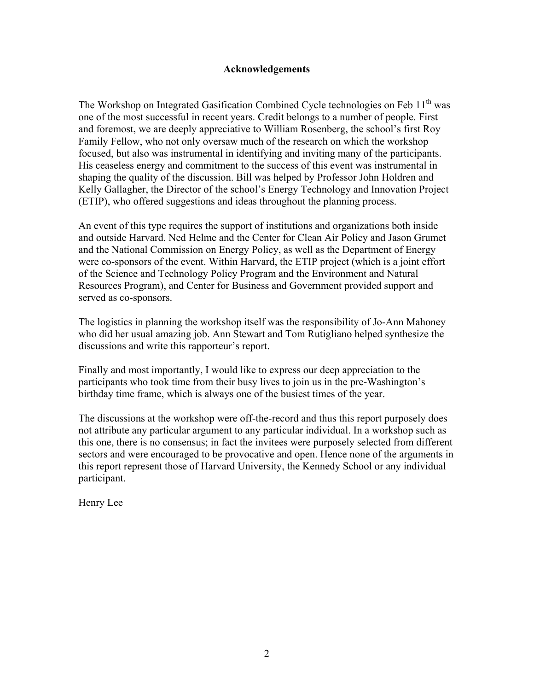### **Acknowledgements**

The Workshop on Integrated Gasification Combined Cycle technologies on Feb 11<sup>th</sup> was one of the most successful in recent years. Credit belongs to a number of people. First and foremost, we are deeply appreciative to William Rosenberg, the school's first Roy Family Fellow, who not only oversaw much of the research on which the workshop focused, but also was instrumental in identifying and inviting many of the participants. His ceaseless energy and commitment to the success of this event was instrumental in shaping the quality of the discussion. Bill was helped by Professor John Holdren and Kelly Gallagher, the Director of the school's Energy Technology and Innovation Project (ETIP), who offered suggestions and ideas throughout the planning process.

An event of this type requires the support of institutions and organizations both inside and outside Harvard. Ned Helme and the Center for Clean Air Policy and Jason Grumet and the National Commission on Energy Policy, as well as the Department of Energy were co-sponsors of the event. Within Harvard, the ETIP project (which is a joint effort of the Science and Technology Policy Program and the Environment and Natural Resources Program), and Center for Business and Government provided support and served as co-sponsors.

The logistics in planning the workshop itself was the responsibility of Jo-Ann Mahoney who did her usual amazing job. Ann Stewart and Tom Rutigliano helped synthesize the discussions and write this rapporteur's report.

Finally and most importantly, I would like to express our deep appreciation to the participants who took time from their busy lives to join us in the pre-Washington's birthday time frame, which is always one of the busiest times of the year.

The discussions at the workshop were off-the-record and thus this report purposely does not attribute any particular argument to any particular individual. In a workshop such as this one, there is no consensus; in fact the invitees were purposely selected from different sectors and were encouraged to be provocative and open. Hence none of the arguments in this report represent those of Harvard University, the Kennedy School or any individual participant.

Henry Lee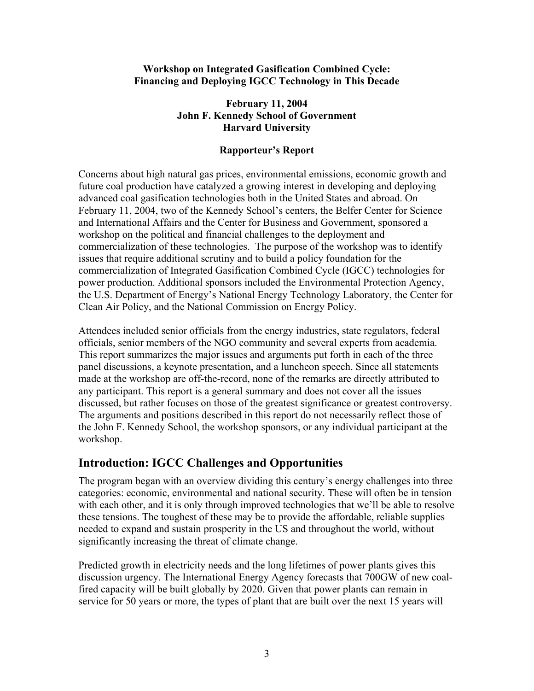# **Workshop on Integrated Gasification Combined Cycle: Financing and Deploying IGCC Technology in This Decade**

# **February 11, 2004 John F. Kennedy School of Government Harvard University**

# **Rapporteur's Report**

Concerns about high natural gas prices, environmental emissions, economic growth and future coal production have catalyzed a growing interest in developing and deploying advanced coal gasification technologies both in the United States and abroad. On February 11, 2004, two of the Kennedy School's centers, the Belfer Center for Science and International Affairs and the Center for Business and Government, sponsored a workshop on the political and financial challenges to the deployment and commercialization of these technologies. The purpose of the workshop was to identify issues that require additional scrutiny and to build a policy foundation for the commercialization of Integrated Gasification Combined Cycle (IGCC) technologies for power production. Additional sponsors included the Environmental Protection Agency, the U.S. Department of Energy's National Energy Technology Laboratory, the Center for Clean Air Policy, and the National Commission on Energy Policy.

Attendees included senior officials from the energy industries, state regulators, federal officials, senior members of the NGO community and several experts from academia. This report summarizes the major issues and arguments put forth in each of the three panel discussions, a keynote presentation, and a luncheon speech. Since all statements made at the workshop are off-the-record, none of the remarks are directly attributed to any participant. This report is a general summary and does not cover all the issues discussed, but rather focuses on those of the greatest significance or greatest controversy. The arguments and positions described in this report do not necessarily reflect those of the John F. Kennedy School, the workshop sponsors, or any individual participant at the workshop.

# **Introduction: IGCC Challenges and Opportunities**

The program began with an overview dividing this century's energy challenges into three categories: economic, environmental and national security. These will often be in tension with each other, and it is only through improved technologies that we'll be able to resolve these tensions. The toughest of these may be to provide the affordable, reliable supplies needed to expand and sustain prosperity in the US and throughout the world, without significantly increasing the threat of climate change.

Predicted growth in electricity needs and the long lifetimes of power plants gives this discussion urgency. The International Energy Agency forecasts that 700GW of new coalfired capacity will be built globally by 2020. Given that power plants can remain in service for 50 years or more, the types of plant that are built over the next 15 years will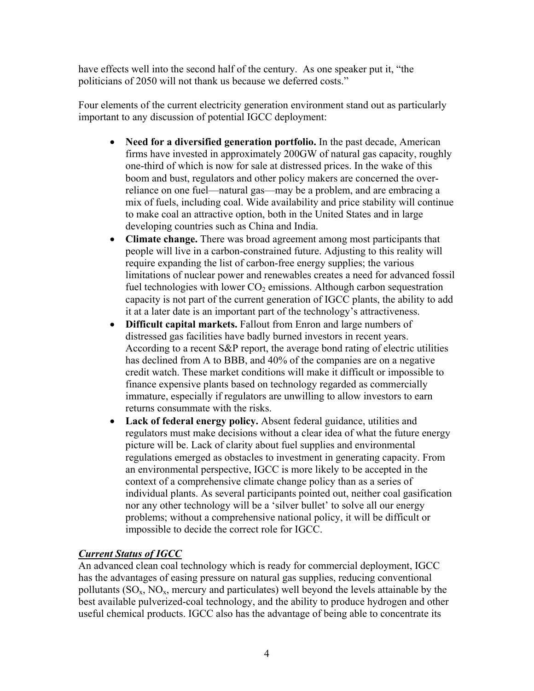have effects well into the second half of the century. As one speaker put it, "the politicians of 2050 will not thank us because we deferred costs."

Four elements of the current electricity generation environment stand out as particularly important to any discussion of potential IGCC deployment:

- **Need for a diversified generation portfolio.** In the past decade, American firms have invested in approximately 200GW of natural gas capacity, roughly one-third of which is now for sale at distressed prices. In the wake of this boom and bust, regulators and other policy makers are concerned the overreliance on one fuel—natural gas—may be a problem, and are embracing a mix of fuels, including coal. Wide availability and price stability will continue to make coal an attractive option, both in the United States and in large developing countries such as China and India.
- **Climate change.** There was broad agreement among most participants that people will live in a carbon-constrained future. Adjusting to this reality will require expanding the list of carbon-free energy supplies; the various limitations of nuclear power and renewables creates a need for advanced fossil fuel technologies with lower  $CO<sub>2</sub>$  emissions. Although carbon sequestration capacity is not part of the current generation of IGCC plants, the ability to add it at a later date is an important part of the technology's attractiveness.
- **Difficult capital markets.** Fallout from Enron and large numbers of distressed gas facilities have badly burned investors in recent years. According to a recent S&P report, the average bond rating of electric utilities has declined from A to BBB, and 40% of the companies are on a negative credit watch. These market conditions will make it difficult or impossible to finance expensive plants based on technology regarded as commercially immature, especially if regulators are unwilling to allow investors to earn returns consummate with the risks.
- **Lack of federal energy policy.** Absent federal guidance, utilities and regulators must make decisions without a clear idea of what the future energy picture will be. Lack of clarity about fuel supplies and environmental regulations emerged as obstacles to investment in generating capacity. From an environmental perspective, IGCC is more likely to be accepted in the context of a comprehensive climate change policy than as a series of individual plants. As several participants pointed out, neither coal gasification nor any other technology will be a 'silver bullet' to solve all our energy problems; without a comprehensive national policy, it will be difficult or impossible to decide the correct role for IGCC.

# *Current Status of IGCC*

An advanced clean coal technology which is ready for commercial deployment, IGCC has the advantages of easing pressure on natural gas supplies, reducing conventional pollutants  $(SO_x, NO_x,$  mercury and particulates) well beyond the levels attainable by the best available pulverized-coal technology, and the ability to produce hydrogen and other useful chemical products. IGCC also has the advantage of being able to concentrate its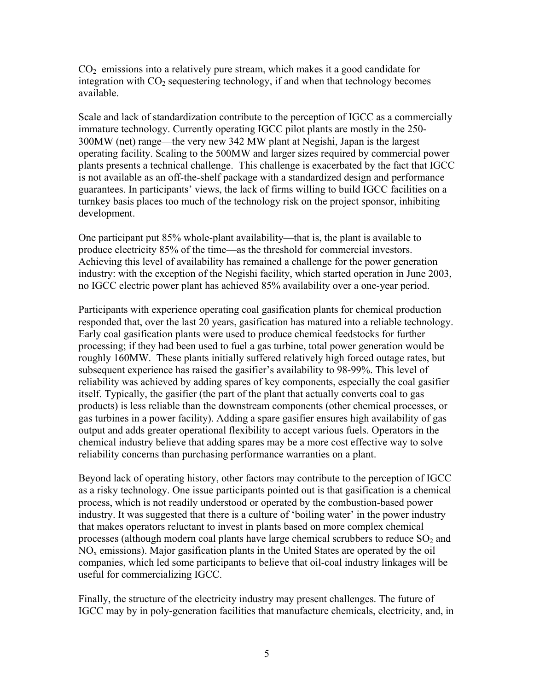$CO<sub>2</sub>$  emissions into a relatively pure stream, which makes it a good candidate for integration with  $CO<sub>2</sub>$  sequestering technology, if and when that technology becomes available.

Scale and lack of standardization contribute to the perception of IGCC as a commercially immature technology. Currently operating IGCC pilot plants are mostly in the 250- 300MW (net) range—the very new 342 MW plant at Negishi, Japan is the largest operating facility. Scaling to the 500MW and larger sizes required by commercial power plants presents a technical challenge. This challenge is exacerbated by the fact that IGCC is not available as an off-the-shelf package with a standardized design and performance guarantees. In participants' views, the lack of firms willing to build IGCC facilities on a turnkey basis places too much of the technology risk on the project sponsor, inhibiting development.

One participant put 85% whole-plant availability—that is, the plant is available to produce electricity 85% of the time—as the threshold for commercial investors. Achieving this level of availability has remained a challenge for the power generation industry: with the exception of the Negishi facility, which started operation in June 2003, no IGCC electric power plant has achieved 85% availability over a one-year period.

Participants with experience operating coal gasification plants for chemical production responded that, over the last 20 years, gasification has matured into a reliable technology. Early coal gasification plants were used to produce chemical feedstocks for further processing; if they had been used to fuel a gas turbine, total power generation would be roughly 160MW. These plants initially suffered relatively high forced outage rates, but subsequent experience has raised the gasifier's availability to 98-99%. This level of reliability was achieved by adding spares of key components, especially the coal gasifier itself. Typically, the gasifier (the part of the plant that actually converts coal to gas products) is less reliable than the downstream components (other chemical processes, or gas turbines in a power facility). Adding a spare gasifier ensures high availability of gas output and adds greater operational flexibility to accept various fuels. Operators in the chemical industry believe that adding spares may be a more cost effective way to solve reliability concerns than purchasing performance warranties on a plant.

Beyond lack of operating history, other factors may contribute to the perception of IGCC as a risky technology. One issue participants pointed out is that gasification is a chemical process, which is not readily understood or operated by the combustion-based power industry. It was suggested that there is a culture of 'boiling water' in the power industry that makes operators reluctant to invest in plants based on more complex chemical processes (although modern coal plants have large chemical scrubbers to reduce  $SO<sub>2</sub>$  and  $NO<sub>x</sub>$  emissions). Major gasification plants in the United States are operated by the oil companies, which led some participants to believe that oil-coal industry linkages will be useful for commercializing IGCC.

Finally, the structure of the electricity industry may present challenges. The future of IGCC may by in poly-generation facilities that manufacture chemicals, electricity, and, in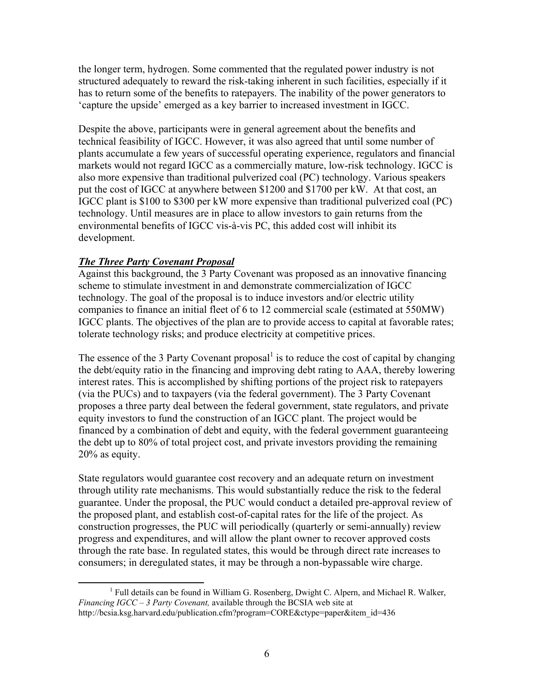the longer term, hydrogen. Some commented that the regulated power industry is not structured adequately to reward the risk-taking inherent in such facilities, especially if it has to return some of the benefits to ratepayers. The inability of the power generators to 'capture the upside' emerged as a key barrier to increased investment in IGCC.

Despite the above, participants were in general agreement about the benefits and technical feasibility of IGCC. However, it was also agreed that until some number of plants accumulate a few years of successful operating experience, regulators and financial markets would not regard IGCC as a commercially mature, low-risk technology. IGCC is also more expensive than traditional pulverized coal (PC) technology. Various speakers put the cost of IGCC at anywhere between \$1200 and \$1700 per kW. At that cost, an IGCC plant is \$100 to \$300 per kW more expensive than traditional pulverized coal (PC) technology. Until measures are in place to allow investors to gain returns from the environmental benefits of IGCC vis-à-vis PC, this added cost will inhibit its development.

# *The Three Party Covenant Proposal*

Against this background, the 3 Party Covenant was proposed as an innovative financing scheme to stimulate investment in and demonstrate commercialization of IGCC technology. The goal of the proposal is to induce investors and/or electric utility companies to finance an initial fleet of 6 to 12 commercial scale (estimated at 550MW) IGCC plants. The objectives of the plan are to provide access to capital at favorable rates; tolerate technology risks; and produce electricity at competitive prices.

The essence of the 3 Party Covenant proposal $<sup>1</sup>$  $<sup>1</sup>$  $<sup>1</sup>$  is to reduce the cost of capital by changing</sup> the debt/equity ratio in the financing and improving debt rating to AAA, thereby lowering interest rates. This is accomplished by shifting portions of the project risk to ratepayers (via the PUCs) and to taxpayers (via the federal government). The 3 Party Covenant proposes a three party deal between the federal government, state regulators, and private equity investors to fund the construction of an IGCC plant. The project would be financed by a combination of debt and equity, with the federal government guaranteeing the debt up to 80% of total project cost, and private investors providing the remaining 20% as equity.

State regulators would guarantee cost recovery and an adequate return on investment through utility rate mechanisms. This would substantially reduce the risk to the federal guarantee. Under the proposal, the PUC would conduct a detailed pre-approval review of the proposed plant, and establish cost-of-capital rates for the life of the project. As construction progresses, the PUC will periodically (quarterly or semi-annually) review progress and expenditures, and will allow the plant owner to recover approved costs through the rate base. In regulated states, this would be through direct rate increases to consumers; in deregulated states, it may be through a non-bypassable wire charge.

<span id="page-5-0"></span> $\begin{array}{c|c}\n\hline\n\end{array}$  $<sup>1</sup>$  Full details can be found in William G. Rosenberg, Dwight C. Alpern, and Michael R. Walker,</sup> *Financing IGCC – 3 Party Covenant,* available through the BCSIA web site at http://bcsia.ksg.harvard.edu/publication.cfm?program=CORE&ctype=paper&item\_id=436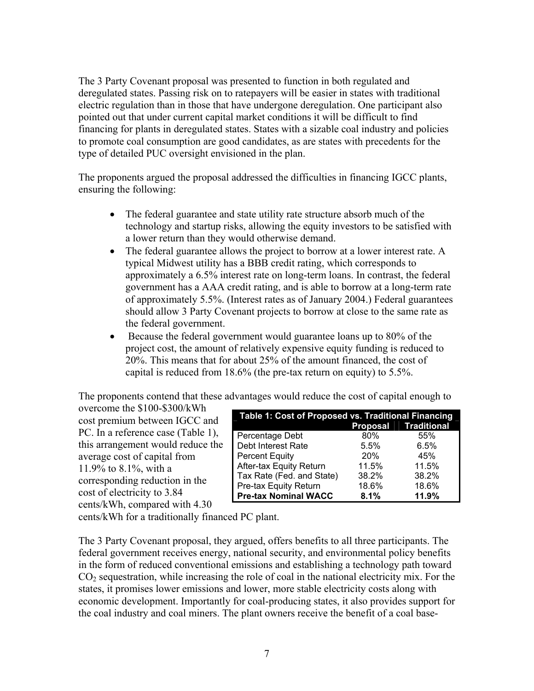The 3 Party Covenant proposal was presented to function in both regulated and deregulated states. Passing risk on to ratepayers will be easier in states with traditional electric regulation than in those that have undergone deregulation. One participant also pointed out that under current capital market conditions it will be difficult to find financing for plants in deregulated states. States with a sizable coal industry and policies to promote coal consumption are good candidates, as are states with precedents for the type of detailed PUC oversight envisioned in the plan.

The proponents argued the proposal addressed the difficulties in financing IGCC plants, ensuring the following:

- The federal guarantee and state utility rate structure absorb much of the technology and startup risks, allowing the equity investors to be satisfied with a lower return than they would otherwise demand.
- The federal guarantee allows the project to borrow at a lower interest rate. A typical Midwest utility has a BBB credit rating, which corresponds to approximately a 6.5% interest rate on long-term loans. In contrast, the federal government has a AAA credit rating, and is able to borrow at a long-term rate of approximately 5.5%. (Interest rates as of January 2004.) Federal guarantees should allow 3 Party Covenant projects to borrow at close to the same rate as the federal government.
- Because the federal government would guarantee loans up to 80% of the project cost, the amount of relatively expensive equity funding is reduced to 20%. This means that for about 25% of the amount financed, the cost of capital is reduced from 18.6% (the pre-tax return on equity) to 5.5%.

The proponents contend that these advantages would reduce the cost of capital enough to

overcome the \$100-\$300/kWh cost premium between IGCC and PC. In a reference case (Table 1), this arrangement would reduce the average cost of capital from 11.9% to 8.1%, with a corresponding reduction in the cost of electricity to 3.84 cents/kWh, compared with 4.30

| Table 1: Cost of Proposed vs. Traditional Financing |       |                      |  |
|-----------------------------------------------------|-------|----------------------|--|
|                                                     |       | Proposal Traditional |  |
| Percentage Debt                                     | 80%   | 55%                  |  |
| Debt Interest Rate                                  | 5.5%  | 6.5%                 |  |
| <b>Percent Equity</b>                               | 20%   | 45%                  |  |
| After-tax Equity Return                             | 11.5% | 11.5%                |  |
| Tax Rate (Fed. and State)                           | 38.2% | 38.2%                |  |
| Pre-tax Equity Return                               | 18.6% | 18.6%                |  |
| <b>Pre-tax Nominal WACC</b>                         | 8.1%  | 11.9%                |  |

cents/kWh for a traditionally financed PC plant.

The 3 Party Covenant proposal, they argued, offers benefits to all three participants. The federal government receives energy, national security, and environmental policy benefits in the form of reduced conventional emissions and establishing a technology path toward  $CO<sub>2</sub>$  sequestration, while increasing the role of coal in the national electricity mix. For the states, it promises lower emissions and lower, more stable electricity costs along with economic development. Importantly for coal-producing states, it also provides support for the coal industry and coal miners. The plant owners receive the benefit of a coal base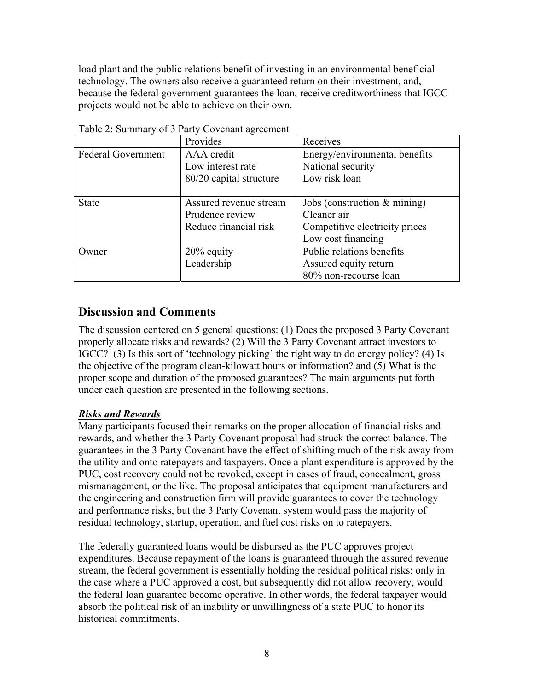load plant and the public relations benefit of investing in an environmental beneficial technology. The owners also receive a guaranteed return on their investment, and, because the federal government guarantees the loan, receive creditworthiness that IGCC projects would not be able to achieve on their own.

|                           | Provides                | Receives                       |
|---------------------------|-------------------------|--------------------------------|
| <b>Federal Government</b> | AAA credit              | Energy/environmental benefits  |
|                           | Low interest rate       | National security              |
|                           | 80/20 capital structure | Low risk loan                  |
|                           |                         |                                |
| <b>State</b>              | Assured revenue stream  | Jobs (construction $&$ mining) |
|                           | Prudence review         | Cleaner air                    |
|                           | Reduce financial risk   | Competitive electricity prices |
|                           |                         | Low cost financing             |
| Owner                     | $20\%$ equity           | Public relations benefits      |
|                           | Leadership              | Assured equity return          |
|                           |                         | 80% non-recourse loan          |

Table 2: Summary of 3 Party Covenant agreement

# **Discussion and Comments**

The discussion centered on 5 general questions: (1) Does the proposed 3 Party Covenant properly allocate risks and rewards? (2) Will the 3 Party Covenant attract investors to IGCC? (3) Is this sort of 'technology picking' the right way to do energy policy? (4) Is the objective of the program clean-kilowatt hours or information? and (5) What is the proper scope and duration of the proposed guarantees? The main arguments put forth under each question are presented in the following sections.

# *Risks and Rewards*

Many participants focused their remarks on the proper allocation of financial risks and rewards, and whether the 3 Party Covenant proposal had struck the correct balance. The guarantees in the 3 Party Covenant have the effect of shifting much of the risk away from the utility and onto ratepayers and taxpayers. Once a plant expenditure is approved by the PUC, cost recovery could not be revoked, except in cases of fraud, concealment, gross mismanagement, or the like. The proposal anticipates that equipment manufacturers and the engineering and construction firm will provide guarantees to cover the technology and performance risks, but the 3 Party Covenant system would pass the majority of residual technology, startup, operation, and fuel cost risks on to ratepayers.

The federally guaranteed loans would be disbursed as the PUC approves project expenditures. Because repayment of the loans is guaranteed through the assured revenue stream, the federal government is essentially holding the residual political risks: only in the case where a PUC approved a cost, but subsequently did not allow recovery, would the federal loan guarantee become operative. In other words, the federal taxpayer would absorb the political risk of an inability or unwillingness of a state PUC to honor its historical commitments.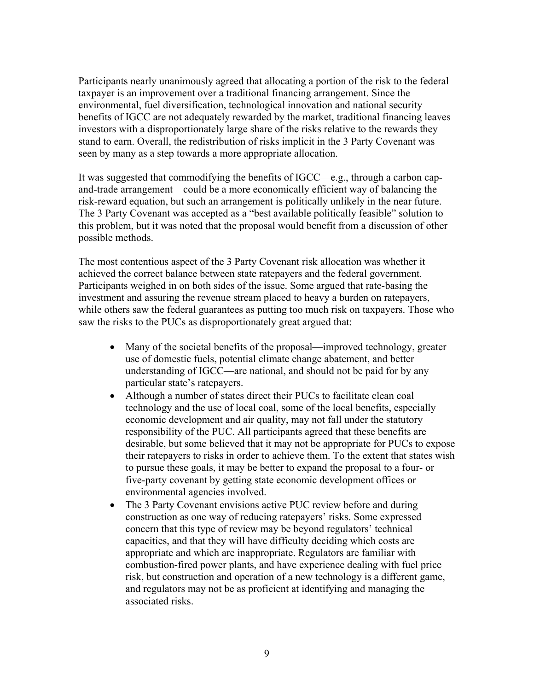Participants nearly unanimously agreed that allocating a portion of the risk to the federal taxpayer is an improvement over a traditional financing arrangement. Since the environmental, fuel diversification, technological innovation and national security benefits of IGCC are not adequately rewarded by the market, traditional financing leaves investors with a disproportionately large share of the risks relative to the rewards they stand to earn. Overall, the redistribution of risks implicit in the 3 Party Covenant was seen by many as a step towards a more appropriate allocation.

It was suggested that commodifying the benefits of IGCC—e.g., through a carbon capand-trade arrangement—could be a more economically efficient way of balancing the risk-reward equation, but such an arrangement is politically unlikely in the near future. The 3 Party Covenant was accepted as a "best available politically feasible" solution to this problem, but it was noted that the proposal would benefit from a discussion of other possible methods.

The most contentious aspect of the 3 Party Covenant risk allocation was whether it achieved the correct balance between state ratepayers and the federal government. Participants weighed in on both sides of the issue. Some argued that rate-basing the investment and assuring the revenue stream placed to heavy a burden on ratepayers, while others saw the federal guarantees as putting too much risk on taxpayers. Those who saw the risks to the PUCs as disproportionately great argued that:

- Many of the societal benefits of the proposal—improved technology, greater use of domestic fuels, potential climate change abatement, and better understanding of IGCC—are national, and should not be paid for by any particular state's ratepayers.
- Although a number of states direct their PUCs to facilitate clean coal technology and the use of local coal, some of the local benefits, especially economic development and air quality, may not fall under the statutory responsibility of the PUC. All participants agreed that these benefits are desirable, but some believed that it may not be appropriate for PUCs to expose their ratepayers to risks in order to achieve them. To the extent that states wish to pursue these goals, it may be better to expand the proposal to a four- or five-party covenant by getting state economic development offices or environmental agencies involved.
- The 3 Party Covenant envisions active PUC review before and during construction as one way of reducing ratepayers' risks. Some expressed concern that this type of review may be beyond regulators' technical capacities, and that they will have difficulty deciding which costs are appropriate and which are inappropriate. Regulators are familiar with combustion-fired power plants, and have experience dealing with fuel price risk, but construction and operation of a new technology is a different game, and regulators may not be as proficient at identifying and managing the associated risks.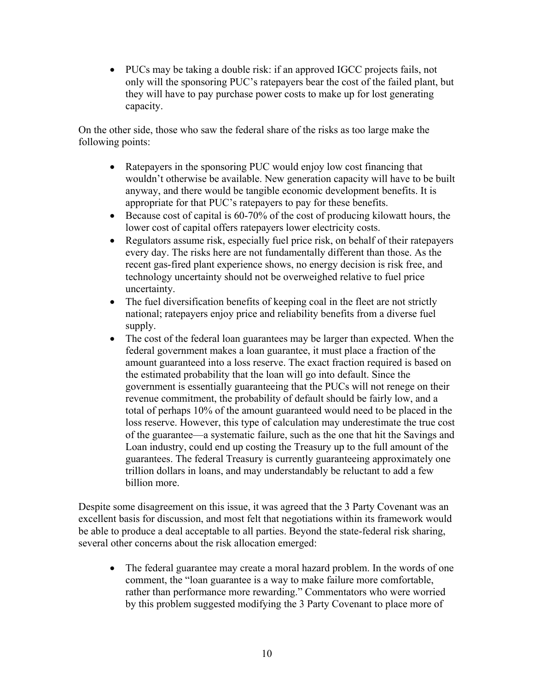• PUCs may be taking a double risk: if an approved IGCC projects fails, not only will the sponsoring PUC's ratepayers bear the cost of the failed plant, but they will have to pay purchase power costs to make up for lost generating capacity.

On the other side, those who saw the federal share of the risks as too large make the following points:

- Ratepayers in the sponsoring PUC would enjoy low cost financing that wouldn't otherwise be available. New generation capacity will have to be built anyway, and there would be tangible economic development benefits. It is appropriate for that PUC's ratepayers to pay for these benefits.
- Because cost of capital is 60-70% of the cost of producing kilowatt hours, the lower cost of capital offers ratepayers lower electricity costs.
- Regulators assume risk, especially fuel price risk, on behalf of their ratepayers every day. The risks here are not fundamentally different than those. As the recent gas-fired plant experience shows, no energy decision is risk free, and technology uncertainty should not be overweighed relative to fuel price uncertainty.
- The fuel diversification benefits of keeping coal in the fleet are not strictly national; ratepayers enjoy price and reliability benefits from a diverse fuel supply.
- The cost of the federal loan guarantees may be larger than expected. When the federal government makes a loan guarantee, it must place a fraction of the amount guaranteed into a loss reserve. The exact fraction required is based on the estimated probability that the loan will go into default. Since the government is essentially guaranteeing that the PUCs will not renege on their revenue commitment, the probability of default should be fairly low, and a total of perhaps 10% of the amount guaranteed would need to be placed in the loss reserve. However, this type of calculation may underestimate the true cost of the guarantee—a systematic failure, such as the one that hit the Savings and Loan industry, could end up costing the Treasury up to the full amount of the guarantees. The federal Treasury is currently guaranteeing approximately one trillion dollars in loans, and may understandably be reluctant to add a few billion more.

Despite some disagreement on this issue, it was agreed that the 3 Party Covenant was an excellent basis for discussion, and most felt that negotiations within its framework would be able to produce a deal acceptable to all parties. Beyond the state-federal risk sharing, several other concerns about the risk allocation emerged:

• The federal guarantee may create a moral hazard problem. In the words of one comment, the "loan guarantee is a way to make failure more comfortable, rather than performance more rewarding." Commentators who were worried by this problem suggested modifying the 3 Party Covenant to place more of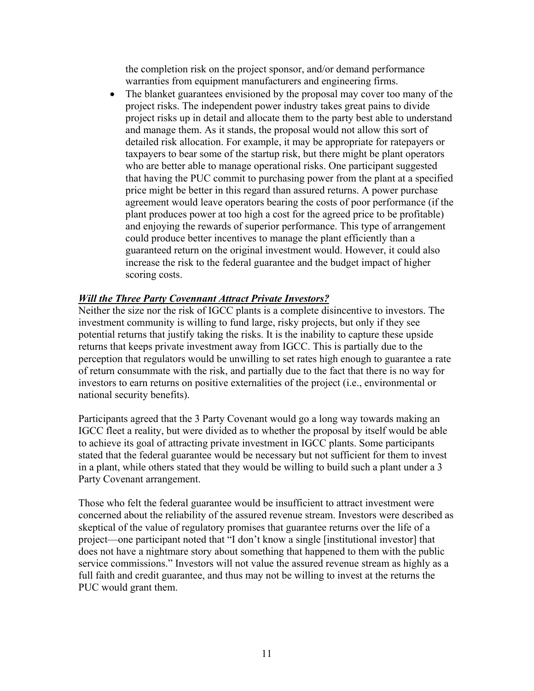the completion risk on the project sponsor, and/or demand performance warranties from equipment manufacturers and engineering firms.

• The blanket guarantees envisioned by the proposal may cover too many of the project risks. The independent power industry takes great pains to divide project risks up in detail and allocate them to the party best able to understand and manage them. As it stands, the proposal would not allow this sort of detailed risk allocation. For example, it may be appropriate for ratepayers or taxpayers to bear some of the startup risk, but there might be plant operators who are better able to manage operational risks. One participant suggested that having the PUC commit to purchasing power from the plant at a specified price might be better in this regard than assured returns. A power purchase agreement would leave operators bearing the costs of poor performance (if the plant produces power at too high a cost for the agreed price to be profitable) and enjoying the rewards of superior performance. This type of arrangement could produce better incentives to manage the plant efficiently than a guaranteed return on the original investment would. However, it could also increase the risk to the federal guarantee and the budget impact of higher scoring costs.

# *Will the Three Party Covennant Attract Private Investors?*

Neither the size nor the risk of IGCC plants is a complete disincentive to investors. The investment community is willing to fund large, risky projects, but only if they see potential returns that justify taking the risks. It is the inability to capture these upside returns that keeps private investment away from IGCC. This is partially due to the perception that regulators would be unwilling to set rates high enough to guarantee a rate of return consummate with the risk, and partially due to the fact that there is no way for investors to earn returns on positive externalities of the project (i.e., environmental or national security benefits).

Participants agreed that the 3 Party Covenant would go a long way towards making an IGCC fleet a reality, but were divided as to whether the proposal by itself would be able to achieve its goal of attracting private investment in IGCC plants. Some participants stated that the federal guarantee would be necessary but not sufficient for them to invest in a plant, while others stated that they would be willing to build such a plant under a 3 Party Covenant arrangement.

Those who felt the federal guarantee would be insufficient to attract investment were concerned about the reliability of the assured revenue stream. Investors were described as skeptical of the value of regulatory promises that guarantee returns over the life of a project—one participant noted that "I don't know a single [institutional investor] that does not have a nightmare story about something that happened to them with the public service commissions." Investors will not value the assured revenue stream as highly as a full faith and credit guarantee, and thus may not be willing to invest at the returns the PUC would grant them.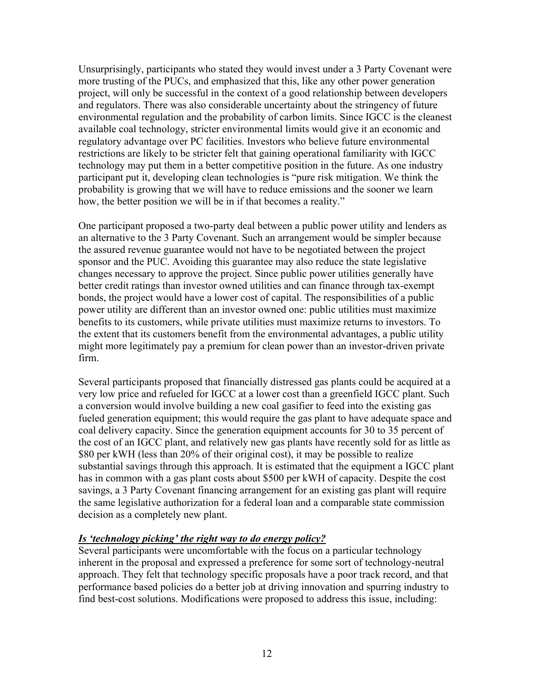Unsurprisingly, participants who stated they would invest under a 3 Party Covenant were more trusting of the PUCs, and emphasized that this, like any other power generation project, will only be successful in the context of a good relationship between developers and regulators. There was also considerable uncertainty about the stringency of future environmental regulation and the probability of carbon limits. Since IGCC is the cleanest available coal technology, stricter environmental limits would give it an economic and regulatory advantage over PC facilities. Investors who believe future environmental restrictions are likely to be stricter felt that gaining operational familiarity with IGCC technology may put them in a better competitive position in the future. As one industry participant put it, developing clean technologies is "pure risk mitigation. We think the probability is growing that we will have to reduce emissions and the sooner we learn how, the better position we will be in if that becomes a reality."

One participant proposed a two-party deal between a public power utility and lenders as an alternative to the 3 Party Covenant. Such an arrangement would be simpler because the assured revenue guarantee would not have to be negotiated between the project sponsor and the PUC. Avoiding this guarantee may also reduce the state legislative changes necessary to approve the project. Since public power utilities generally have better credit ratings than investor owned utilities and can finance through tax-exempt bonds, the project would have a lower cost of capital. The responsibilities of a public power utility are different than an investor owned one: public utilities must maximize benefits to its customers, while private utilities must maximize returns to investors. To the extent that its customers benefit from the environmental advantages, a public utility might more legitimately pay a premium for clean power than an investor-driven private firm.

Several participants proposed that financially distressed gas plants could be acquired at a very low price and refueled for IGCC at a lower cost than a greenfield IGCC plant. Such a conversion would involve building a new coal gasifier to feed into the existing gas fueled generation equipment; this would require the gas plant to have adequate space and coal delivery capacity. Since the generation equipment accounts for 30 to 35 percent of the cost of an IGCC plant, and relatively new gas plants have recently sold for as little as \$80 per kWH (less than 20% of their original cost), it may be possible to realize substantial savings through this approach. It is estimated that the equipment a IGCC plant has in common with a gas plant costs about \$500 per kWH of capacity. Despite the cost savings, a 3 Party Covenant financing arrangement for an existing gas plant will require the same legislative authorization for a federal loan and a comparable state commission decision as a completely new plant.

# *Is 'technology picking' the right way to do energy policy?*

Several participants were uncomfortable with the focus on a particular technology inherent in the proposal and expressed a preference for some sort of technology-neutral approach. They felt that technology specific proposals have a poor track record, and that performance based policies do a better job at driving innovation and spurring industry to find best-cost solutions. Modifications were proposed to address this issue, including: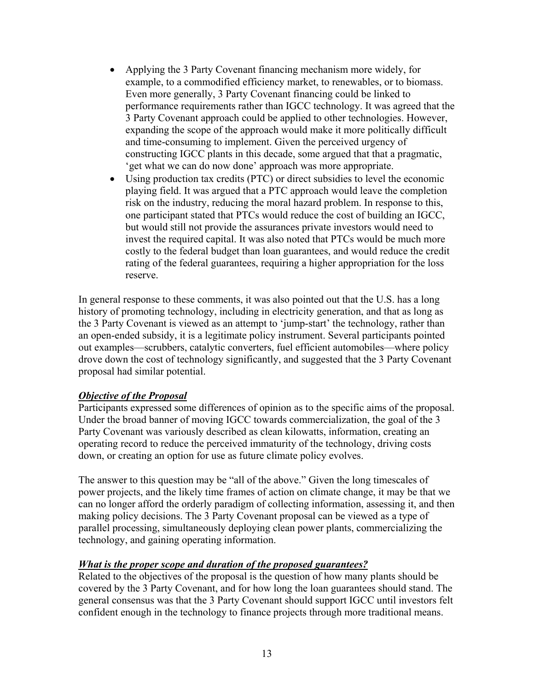- Applying the 3 Party Covenant financing mechanism more widely, for example, to a commodified efficiency market, to renewables, or to biomass. Even more generally, 3 Party Covenant financing could be linked to performance requirements rather than IGCC technology. It was agreed that the 3 Party Covenant approach could be applied to other technologies. However, expanding the scope of the approach would make it more politically difficult and time-consuming to implement. Given the perceived urgency of constructing IGCC plants in this decade, some argued that that a pragmatic, 'get what we can do now done' approach was more appropriate.
- Using production tax credits (PTC) or direct subsidies to level the economic playing field. It was argued that a PTC approach would leave the completion risk on the industry, reducing the moral hazard problem. In response to this, one participant stated that PTCs would reduce the cost of building an IGCC, but would still not provide the assurances private investors would need to invest the required capital. It was also noted that PTCs would be much more costly to the federal budget than loan guarantees, and would reduce the credit rating of the federal guarantees, requiring a higher appropriation for the loss reserve.

In general response to these comments, it was also pointed out that the U.S. has a long history of promoting technology, including in electricity generation, and that as long as the 3 Party Covenant is viewed as an attempt to 'jump-start' the technology, rather than an open-ended subsidy, it is a legitimate policy instrument. Several participants pointed out examples—scrubbers, catalytic converters, fuel efficient automobiles—where policy drove down the cost of technology significantly, and suggested that the 3 Party Covenant proposal had similar potential.

# *Objective of the Proposal*

Participants expressed some differences of opinion as to the specific aims of the proposal. Under the broad banner of moving IGCC towards commercialization, the goal of the 3 Party Covenant was variously described as clean kilowatts, information, creating an operating record to reduce the perceived immaturity of the technology, driving costs down, or creating an option for use as future climate policy evolves.

The answer to this question may be "all of the above." Given the long timescales of power projects, and the likely time frames of action on climate change, it may be that we can no longer afford the orderly paradigm of collecting information, assessing it, and then making policy decisions. The 3 Party Covenant proposal can be viewed as a type of parallel processing, simultaneously deploying clean power plants, commercializing the technology, and gaining operating information.

# *What is the proper scope and duration of the proposed guarantees?*

Related to the objectives of the proposal is the question of how many plants should be covered by the 3 Party Covenant, and for how long the loan guarantees should stand. The general consensus was that the 3 Party Covenant should support IGCC until investors felt confident enough in the technology to finance projects through more traditional means.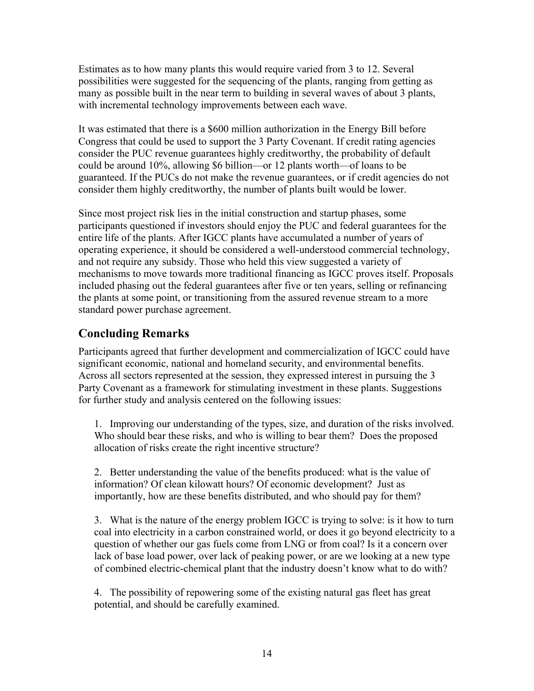Estimates as to how many plants this would require varied from 3 to 12. Several possibilities were suggested for the sequencing of the plants, ranging from getting as many as possible built in the near term to building in several waves of about 3 plants, with incremental technology improvements between each wave.

It was estimated that there is a \$600 million authorization in the Energy Bill before Congress that could be used to support the 3 Party Covenant. If credit rating agencies consider the PUC revenue guarantees highly creditworthy, the probability of default could be around 10%, allowing \$6 billion—or 12 plants worth—of loans to be guaranteed. If the PUCs do not make the revenue guarantees, or if credit agencies do not consider them highly creditworthy, the number of plants built would be lower.

Since most project risk lies in the initial construction and startup phases, some participants questioned if investors should enjoy the PUC and federal guarantees for the entire life of the plants. After IGCC plants have accumulated a number of years of operating experience, it should be considered a well-understood commercial technology, and not require any subsidy. Those who held this view suggested a variety of mechanisms to move towards more traditional financing as IGCC proves itself. Proposals included phasing out the federal guarantees after five or ten years, selling or refinancing the plants at some point, or transitioning from the assured revenue stream to a more standard power purchase agreement.

# **Concluding Remarks**

Participants agreed that further development and commercialization of IGCC could have significant economic, national and homeland security, and environmental benefits. Across all sectors represented at the session, they expressed interest in pursuing the 3 Party Covenant as a framework for stimulating investment in these plants. Suggestions for further study and analysis centered on the following issues:

1. Improving our understanding of the types, size, and duration of the risks involved. Who should bear these risks, and who is willing to bear them? Does the proposed allocation of risks create the right incentive structure?

2. Better understanding the value of the benefits produced: what is the value of information? Of clean kilowatt hours? Of economic development? Just as importantly, how are these benefits distributed, and who should pay for them?

3. What is the nature of the energy problem IGCC is trying to solve: is it how to turn coal into electricity in a carbon constrained world, or does it go beyond electricity to a question of whether our gas fuels come from LNG or from coal? Is it a concern over lack of base load power, over lack of peaking power, or are we looking at a new type of combined electric-chemical plant that the industry doesn't know what to do with?

4. The possibility of repowering some of the existing natural gas fleet has great potential, and should be carefully examined.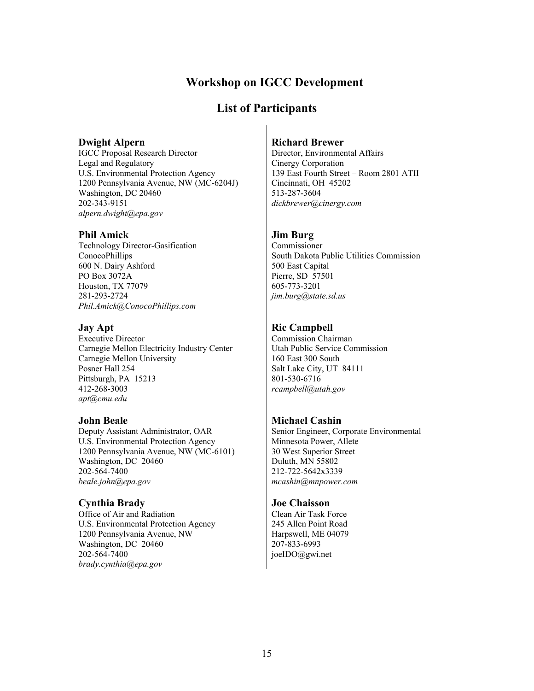# **Workshop on IGCC Development**

# **List of Participants**

#### **Dwight Alpern**

IGCC Proposal Research Director Legal and Regulatory U.S. Environmental Protection Agency 1200 Pennsylvania Avenue, NW (MC-6204J) Washington, DC 20460 202-343-9151 *[alpern.dwight@epa.gov](mailto:alpern.dwight@epa.gov)*

#### **Phil Amick**

Technology Director-Gasification ConocoPhillips 600 N. Dairy Ashford PO Box 3072A Houston, TX 77079 281-293-2724 *[Phil.Amick@ConocoPhillips.com](mailto:Phil.Amick@ConocoPhillips.com)*

#### **Jay Apt**

Executive Director Carnegie Mellon Electricity Industry Center Carnegie Mellon University Posner Hall 254 Pittsburgh, PA 15213 412-268-3003 *[apt@cmu.edu](mailto:apt@cmu.edu)*

#### **John Beale**

Deputy Assistant Administrator, OAR U.S. Environmental Protection Agency 1200 Pennsylvania Avenue, NW (MC-6101) Washington, DC 20460 202-564-7400 *[beale.john@epa.gov](mailto:beale.john@epa.gov)*

#### **Cynthia Brady**

Office of Air and Radiation U.S. Environmental Protection Agency 1200 Pennsylvania Avenue, NW Washington, DC 20460 202-564-7400 *[brady.cynthia@epa.gov](mailto:brady.cynthia@epa.gov)*

#### **Richard Brewer**

Director, Environmental Affairs Cinergy Corporation 139 East Fourth Street – Room 2801 ATII Cincinnati, OH 45202 513-287-3604 *dickbrewer@cinergy.com*

# **Jim Burg**

Commissioner South Dakota Public Utilities Commission 500 East Capital Pierre, SD 57501 605-773-3201 *[jim.burg@state.sd.us](mailto:jim.burg@state.sd.us)*

# **Ric Campbell**

Commission Chairman Utah Public Service Commission 160 East 300 South Salt Lake City, UT 84111 801-530-6716 *rcampbell@utah.gov* 

# **Michael Cashin**

Senior Engineer, Corporate Environmental Minnesota Power, Allete 30 West Superior Street Duluth, MN 55802 212-722-5642x3339 *[mcashin@mnpower.com](mailto:mcashin@mnpower.com)*

#### **Joe Chaisson**

Clean Air Task Force 245 Allen Point Road Harpswell, ME 04079 207-833-6993 joeIDO@gwi.net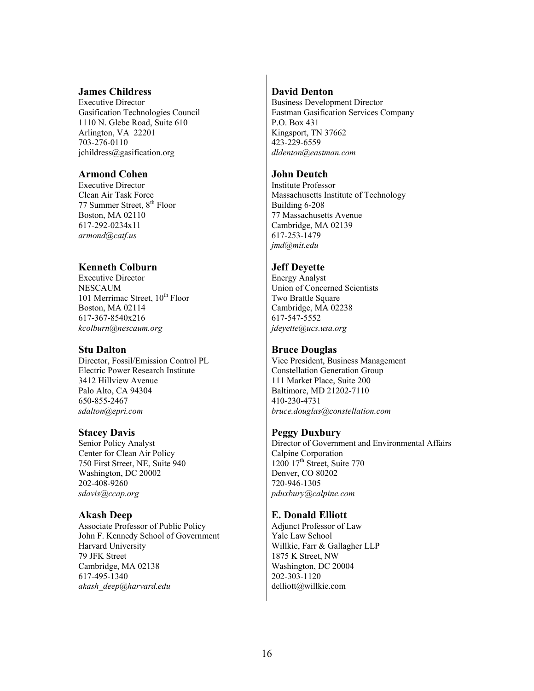### **James Childress**

Executive Director Gasification Technologies Council 1110 N. Glebe Road, Suite 610 Arlington, VA 22201 703-276-0110 jchildress@gasification.org

#### **Armond Cohen**

Executive Director Clean Air Task Force 77 Summer Street, 8<sup>th</sup> Floor Boston, MA 02110 617-292-0234x11 *[armond@catf.us](mailto:armond@catf.us)*

# **Kenneth Colburn**

Executive Director **NESCAUM** 101 Merrimac Street,  $10^{th}$  Floor Boston, MA 02114 617-367-8540x216 *[kcolburn@nescaum.org](mailto:kcolburn@nescaum.org)*

#### **Stu Dalton**

Director, Fossil/Emission Control PL Electric Power Research Institute 3412 Hillview Avenue Palo Alto, CA 94304 650-855-2467 *[sdalton@epri.com](mailto:sdalton@epri.com)*

#### **Stacey Davis**

Senior Policy Analyst Center for Clean Air Policy 750 First Street, NE, Suite 940 Washington, DC 20002 202-408-9260 *[sdavis@ccap.org](mailto:sdavis@ccap.org)*

# **Akash Deep**

Associate Professor of Public Policy John F. Kennedy School of Government Harvard University 79 JFK Street Cambridge, MA 02138 617-495-1340 *[akash\\_deep@harvard.edu](mailto:akash_deep@harvard.edu)*

# **David Denton**

Business Development Director Eastman Gasification Services Company P.O. Box 431 Kingsport, TN 37662 423-229-6559 *[dldenton@eastman.com](mailto:dldenton@eastman.com)*

# **John Deutch**

Institute Professor Massachusetts Institute of Technology Building 6-208 77 Massachusetts Avenue Cambridge, MA 02139 617-253-1479 *[jmd@mit.edu](mailto:jmd@mit.edu)*

# **Jeff Deyette**

Energy Analyst Union of Concerned Scientists Two Brattle Square Cambridge, MA 02238 617-547-5552 *[jdeyette@ucs.usa.org](mailto:jdeyette@ucs.usa.org)*

# **Bruce Douglas**

Vice President, Business Management Constellation Generation Group 111 Market Place, Suite 200 Baltimore, MD 21202-7110 410-230-4731 *[bruce.douglas@constellation.com](mailto:bruce.douglas@constellation.com)*

#### **Peggy Duxbury**

Director of Government and Environmental Affairs Calpine Corporation  $1200$   $17<sup>th</sup>$  Street, Suite 770 Denver, CO 80202 720-946-1305 *[pduxbury@calpine.com](mailto:pduxbury@calpine.com)*

# **E. Donald Elliott**

Adjunct Professor of Law Yale Law School Willkie, Farr & Gallagher LLP 1875 K Street, NW Washington, DC 20004 202-303-1120 delliott@willkie.com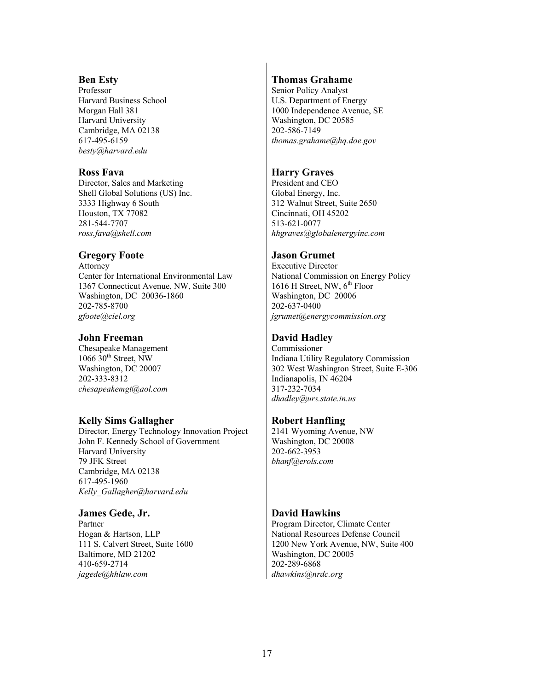#### **Ben Esty**

Professor Harvard Business School Morgan Hall 381 Harvard University Cambridge, MA 02138 617-495-6159 *[besty@harvard.edu](mailto:besty@harvard.edu)*

#### **Ross Fava**

Director, Sales and Marketing Shell Global Solutions (US) Inc. 3333 Highway 6 South Houston, TX 77082 281-544-7707 *[ross.fava@shell.com](mailto:ross.fava@shell.com)*

### **Gregory Foote**

Attorney Center for International Environmental Law 1367 Connecticut Avenue, NW, Suite 300 Washington, DC 20036-1860 202-785-8700 *[gfoote@ciel.org](mailto:gfoote@ciel.org)*

#### **John Freeman**

Chesapeake Management  $1066$   $30$ <sup>th</sup> Street, NW Washington, DC 20007 202-333-8312 *[chesapeakemgt@aol.com](mailto:chesapeakemgt@aol.com)*

# **Kelly Sims Gallagher**

Director, Energy Technology Innovation Project John F. Kennedy School of Government Harvard University 79 JFK Street Cambridge, MA 02138 617-495-1960 *[Kelly\\_Gallagher@harvard.edu](mailto:Kelly_Gallagher@harvard.edu)*

#### **James Gede, Jr.**

Partner Hogan & Hartson, LLP 111 S. Calvert Street, Suite 1600 Baltimore, MD 21202 410-659-2714 *[jagede@hhlaw.com](mailto:jagede@hhlaw.com)*

# **Thomas Grahame**

Senior Policy Analyst U.S. Department of Energy 1000 Independence Avenue, SE Washington, DC 20585 202-586-7149 *[thomas.grahame@hq.doe.gov](mailto:thomas.grahame@hq.doe.gov)*

# **Harry Graves**

President and CEO Global Energy, Inc. 312 Walnut Street, Suite 2650 Cincinnati, OH 45202 513-621-0077 *[hhgraves@globalenergyinc.com](mailto:hhgraves@globalenergyinc.com)*

### **Jason Grumet**

Executive Director National Commission on Energy Policy 1616 H Street, NW,  $6^{th}$  Floor Washington, DC 20006 202-637-0400 *[jgrumet@energycommission.org](mailto:jgrumet@energycomission.org)*

# **David Hadley**

Commissioner Indiana Utility Regulatory Commission 302 West Washington Street, Suite E-306 Indianapolis, IN 46204 317-232-7034 *[dhadley@urs.state.in.us](mailto:dhadley@urs.state.in.us)*

#### **Robert Hanfling**

2141 Wyoming Avenue, NW Washington, DC 20008 202-662-3953 *[bhanf@erols.com](mailto:bhanf@erols.com)*

# **David Hawkins**

Program Director, Climate Center National Resources Defense Council 1200 New York Avenue, NW, Suite 400 Washington, DC 20005 202-289-6868 *[dhawkins@nrdc.org](mailto:dhawkins@nrdc.org)*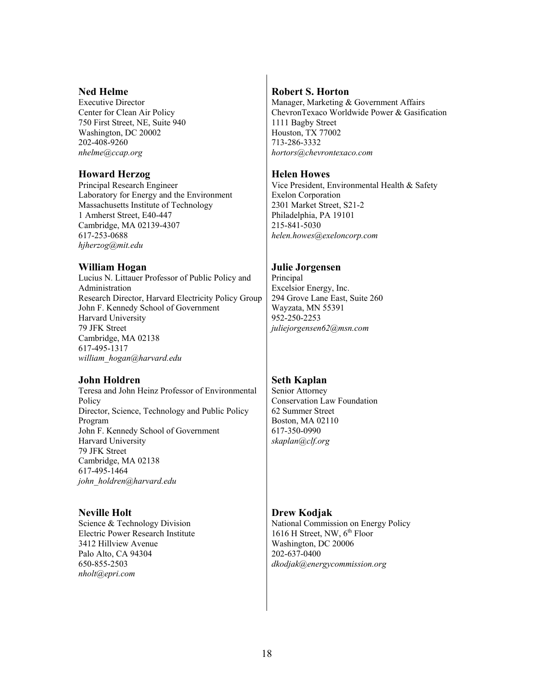#### **Ned Helme**

Executive Director Center for Clean Air Policy 750 First Street, NE, Suite 940 Washington, DC 20002 202-408-9260 *[nhelme@ccap.org](mailto:nhelme@ccap.org)*

#### **Howard Herzog**

Principal Research Engineer Laboratory for Energy and the Environment Massachusetts Institute of Technology 1 Amherst Street, E40-447 Cambridge, MA 02139-4307 617-253-0688 *[hjherzog@mit.edu](mailto:hjherzog@mit.edu)*

# **William Hogan**

Lucius N. Littauer Professor of Public Policy and Administration Research Director, Harvard Electricity Policy Group John F. Kennedy School of Government Harvard University 79 JFK Street Cambridge, MA 02138 617-495-1317 *[william\\_hogan@harvard.edu](mailto:william_hogan@harvard.edu)*

# **John Holdren**

Teresa and John Heinz Professor of Environmental Policy Director, Science, Technology and Public Policy Program John F. Kennedy School of Government Harvard University 79 JFK Street Cambridge, MA 02138 617-495-1464 *john\_holdren@harvard.edu* 

# **Neville Holt**

Science & Technology Division Electric Power Research Institute 3412 Hillview Avenue Palo Alto, CA 94304 650-855-2503 *[nholt@epri.com](mailto:nhold@epri.com)*

# **Robert S. Horton**

Manager, Marketing & Government Affairs ChevronTexaco Worldwide Power & Gasification 1111 Bagby Street Houston, TX 77002 713-286-3332 *hortors@chevrontexaco.com* 

### **Helen Howes**

Vice President, Environmental Health & Safety Exelon Corporation 2301 Market Street, S21-2 Philadelphia, PA 19101 215-841-5030 *helen.howes@exeloncorp.com* 

### **Julie Jorgensen**

Principal Excelsior Energy, Inc. 294 Grove Lane East, Suite 260 Wayzata, MN 55391 952-250-2253 *[juliejorgensen62@msn.com](mailto:juliejorgensen62@msn.com)*

# **Seth Kaplan**

Senior Attorney Conservation Law Foundation 62 Summer Street Boston, MA 02110 617-350-0990 *[skaplan@clf.org](mailto:skaplan@clf.org)*

#### **Drew Kodjak**

National Commission on Energy Policy 1616 H Street, NW,  $6^{th}$  Floor Washington, DC 20006 202-637-0400 *dkodjak@energycommission.org*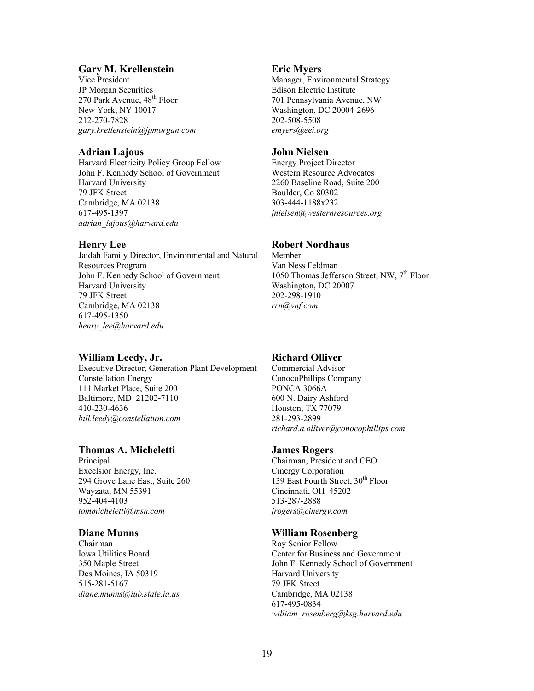# **Gary M. Krellenstein**

Vice President JP Morgan Securities 270 Park Avenue,  $48<sup>th</sup>$  Floor New York, NY 10017 212-270-7828 *[gary.krellenstein@jpmorgan.com](mailto:gary.krellenstein@jpmorgan.com)*

# **Adrian Lajous**

Harvard Electricity Policy Group Fellow John F. Kennedy School of Government Harvard University 79 JFK Street Cambridge, MA 02138 617-495-1397 *[adrian\\_lajous@harvard.edu](mailto:adrian_lajous@harvard.edu)*

# **Henry Lee**

Jaidah Family Director, Environmental and Natural Resources Program John F. Kennedy School of Government Harvard University 79 JFK Street Cambridge, MA 02138 617-495-1350 *[henry\\_lee@harvard.edu](mailto:henry_lee@harvard.edu)*

# **William Leedy, Jr.**

Executive Director, Generation Plant Development Constellation Energy 111 Market Place, Suite 200 Baltimore, MD 21202-7110 410-230-4636 *[bill.leedy@constellation.com](mailto:bill.leedy@constellation.com)*

# **Thomas A. Micheletti**

Principal Excelsior Energy, Inc. 294 Grove Lane East, Suite 260 Wayzata, MN 55391 952-404-4103 *[tommicheletti@msn.com](mailto:tommicheletti@msn.com)*

# **Diane Munns**

Chairman Iowa Utilities Board 350 Maple Street Des Moines, IA 50319 515-281-5167 *[diane.munns@iub.state.ia.us](mailto:diane.munns@iub.state.ia.us)*

# **Eric Myers**

Manager, Environmental Strategy Edison Electric Institute 701 Pennsylvania Avenue, NW Washington, DC 20004-2696 202-508-5508 *[emyers@eei.org](mailto:emyers@eei.org)*

# **John Nielsen**

Energy Project Director Western Resource Advocates 2260 Baseline Road, Suite 200 Boulder, Co 80302 303-444-1188x232 *[jnielsen@westernresources.org](mailto:jnielsen@westernresources.org)*

# **Robert Nordhaus**

Member Van Ness Feldman 1050 Thomas Jefferson Street, NW,  $7<sup>th</sup>$  Floor Washington, DC 20007 202-298-1910 *[rrn@vnf.com](mailto:rrn@vnf.com)*

# **Richard Olliver**

Commercial Advisor ConocoPhillips Company PONCA 3066A 600 N. Dairy Ashford Houston, TX 77079 281-293-2899 *[richard.a.olliver@conocophillips.com](mailto:richard.a.olliver@conocophillips.com)*

# **James Rogers**

Chairman, President and CEO Cinergy Corporation 139 East Fourth Street,  $30<sup>th</sup>$  Floor Cincinnati, OH 45202 513-287-2888 *[jrogers@cinergy.com](mailto:jrogers@cinergy.com)*

# **William Rosenberg**

Roy Senior Fellow Center for Business and Government John F. Kennedy School of Government Harvard University 79 JFK Street Cambridge, MA 02138 617-495-0834 *[william\\_rosenberg@ksg.harvard.edu](mailto:william_rosenberg@ksg.harvard.edu)*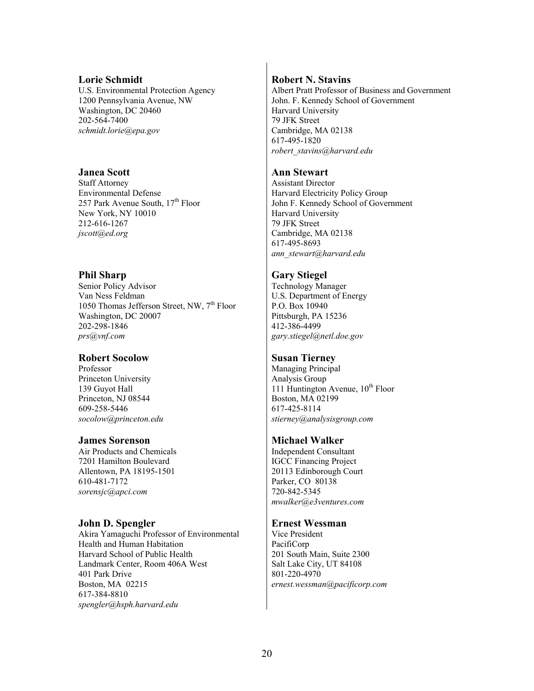#### **Lorie Schmidt**

U.S. Environmental Protection Agency 1200 Pennsylvania Avenue, NW Washington, DC 20460 202-564-7400 *[schmidt.lorie@epa.gov](mailto:schmidt.lorie@epa.gov)*

#### **Janea Scott**

Staff Attorney Environmental Defense 257 Park Avenue South, 17<sup>th</sup> Floor New York, NY 10010 212-616-1267 *[jscott@ed.org](mailto:jscott@ed.org)*

#### **Phil Sharp**

Senior Policy Advisor Van Ness Feldman 1050 Thomas Jefferson Street, NW,  $7<sup>th</sup>$  Floor Washington, DC 20007 202-298-1846 *[prs@vnf.com](mailto:prs@vnf.com)*

#### **Robert Socolow**

Professor Princeton University 139 Guyot Hall Princeton, NJ 08544 609-258-5446 *[socolow@princeton.edu](mailto:socolow@princeton.edu)*

#### **James Sorenson**

Air Products and Chemicals 7201 Hamilton Boulevard Allentown, PA 18195-1501 610-481-7172 *[sorensjc@apci.com](mailto:sorensjc@apci.com)*

#### **John D. Spengler**

Akira Yamaguchi Professor of Environmental Health and Human Habitation Harvard School of Public Health Landmark Center, Room 406A West 401 Park Drive Boston, MA 02215 617-384-8810 *[spengler@hsph.harvard.edu](mailto:spengler@hsph.harvard.edu)*

#### **Robert N. Stavins**

Albert Pratt Professor of Business and Government John. F. Kennedy School of Government Harvard University 79 JFK Street Cambridge, MA 02138 617-495-1820 *robert\_stavins@harvard.edu*

### **Ann Stewart**

Assistant Director Harvard Electricity Policy Group John F. Kennedy School of Government Harvard University 79 JFK Street Cambridge, MA 02138 617-495-8693 *[ann\\_stewart@harvard.edu](mailto:ann_stewart@harvard.edu)*

#### **Gary Stiegel**

Technology Manager U.S. Department of Energy P.O. Box 10940 Pittsburgh, PA 15236 412-386-4499 *[gary.stiegel@netl.doe.gov](mailto:gary.stiegel@netl.doe.gov)*

#### **Susan Tierney**

Managing Principal Analysis Group 111 Huntington Avenue,  $10^{th}$  Floor Boston, MA 02199 617-425-8114 *[stierney@analysisgroup.com](mailto:stierney@analysisgroup.com)*

#### **Michael Walker**

Independent Consultant IGCC Financing Project 20113 Edinborough Court Parker, CO 80138 720-842-5345 *[mwalker@e3ventures.com](mailto:mwalker@e3ventures.com)*

#### **Ernest Wessman**

Vice President PacifiCorp 201 South Main, Suite 2300 Salt Lake City, UT 84108 801-220-4970 *[ernest.wessman@pacificorp.com](mailto:ernest.wessman@pacificorp.com)*